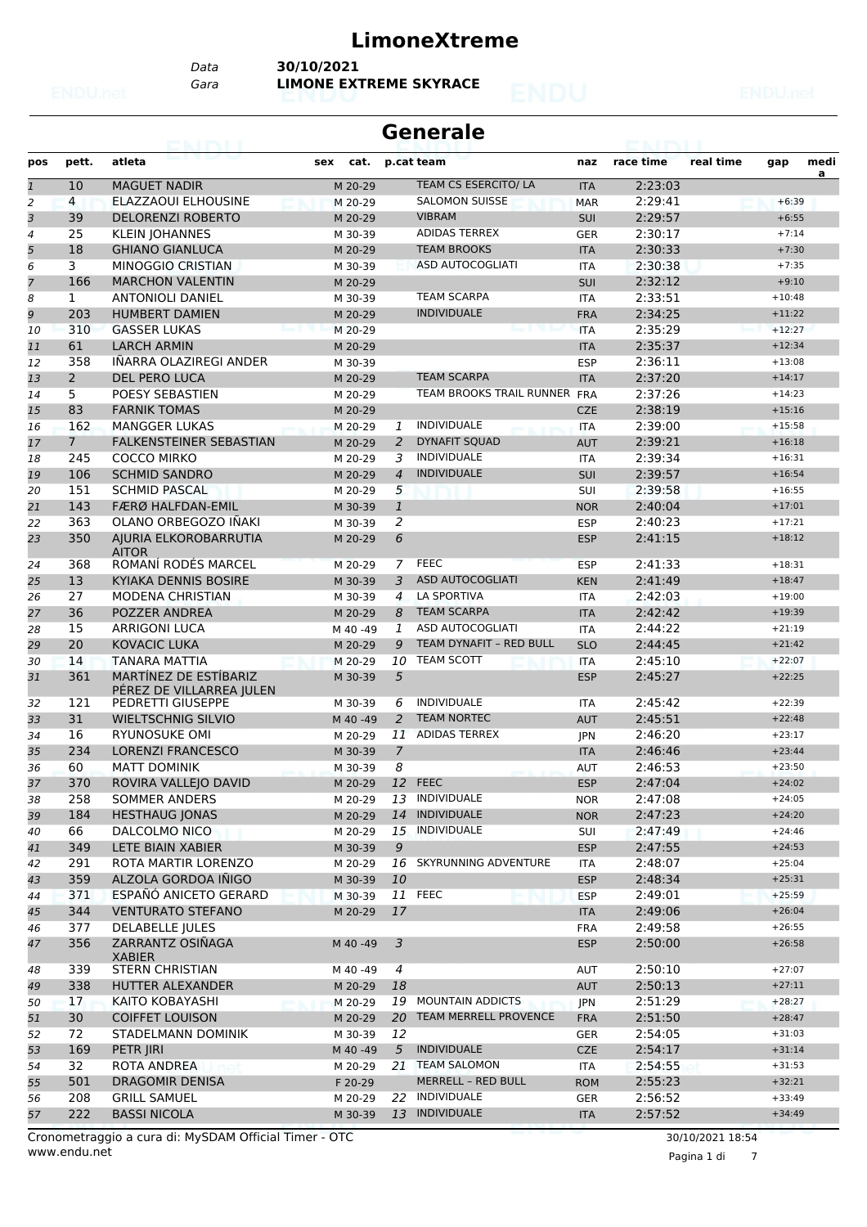### **LimoneXtreme**

*Data* **30/10/2021**

*Gara* **LIMONE EXTREME SKYRACE**

|  |  | <b>SALE</b> | <b>START START</b><br>$\mathcal{C}^{\mathcal{C}}_{\mathcal{M}}$ | ٠ |
|--|--|-------------|-----------------------------------------------------------------|---|
|  |  |             |                                                                 |   |
|  |  |             |                                                                 |   |
|  |  |             |                                                                 |   |

| <b>Generale</b>           |             |                                                   |             |                |                                |            |           |           |          |           |  |  |  |
|---------------------------|-------------|---------------------------------------------------|-------------|----------------|--------------------------------|------------|-----------|-----------|----------|-----------|--|--|--|
| pos                       | pett.       | atleta                                            | cat.<br>sex |                | p.cat team                     | naz        | race time | real time | gap      | medi<br>a |  |  |  |
| $\overline{\mathfrak{1}}$ | 10          | <b>MAGUET NADIR</b>                               | M 20-29     |                | TEAM CS ESERCITO/ LA           | <b>ITA</b> | 2:23:03   |           |          |           |  |  |  |
| 2                         | 4           | ELAZZAOUI ELHOUSINE                               | M 20-29     |                | <b>SALOMON SUISSE</b>          | <b>MAR</b> | 2:29:41   |           | $+6:39$  |           |  |  |  |
| 3                         | 39          | <b>DELORENZI ROBERTO</b>                          | M 20-29     |                | <b>VIBRAM</b>                  | <b>SUI</b> | 2:29:57   |           | $+6:55$  |           |  |  |  |
| 4                         | 25          | <b>KLEIN JOHANNES</b>                             | M 30-39     |                | <b>ADIDAS TERREX</b>           | GER        | 2:30:17   |           | $+7:14$  |           |  |  |  |
| 5                         | 18          | <b>GHIANO GIANLUCA</b>                            | M 20-29     |                | <b>TEAM BROOKS</b>             | <b>ITA</b> | 2:30:33   |           | $+7:30$  |           |  |  |  |
| 6                         | 3           | <b>MINOGGIO CRISTIAN</b>                          | M 30-39     |                | <b>ASD AUTOCOGLIATI</b>        | <b>ITA</b> | 2:30:38   |           | $+7:35$  |           |  |  |  |
| 7                         | 166         | <b>MARCHON VALENTIN</b>                           | M 20-29     |                |                                | <b>SUI</b> | 2:32:12   |           | $+9:10$  |           |  |  |  |
| 8                         | 1           | <b>ANTONIOLI DANIEL</b>                           | M 30-39     |                | <b>TEAM SCARPA</b>             | <b>ITA</b> | 2:33:51   |           | $+10:48$ |           |  |  |  |
| 9                         | 203         | <b>HUMBERT DAMIEN</b>                             | M 20-29     |                | <b>INDIVIDUALE</b>             | <b>FRA</b> | 2:34:25   |           | $+11:22$ |           |  |  |  |
| 10                        | 310         | <b>GASSER LUKAS</b>                               | M 20-29     |                |                                | <b>ITA</b> | 2:35:29   |           | $+12:27$ |           |  |  |  |
| 11                        | 61          | <b>LARCH ARMIN</b>                                | M 20-29     |                |                                | <b>ITA</b> | 2:35:37   |           | $+12:34$ |           |  |  |  |
| 12                        | 358         | IÑARRA OLAZIREGI ANDER                            | M 30-39     |                |                                | <b>ESP</b> | 2:36:11   |           | $+13:08$ |           |  |  |  |
| 13                        | $2^{\circ}$ | <b>DEL PERO LUCA</b>                              | M 20-29     |                | <b>TEAM SCARPA</b>             | <b>ITA</b> | 2:37:20   |           | $+14:17$ |           |  |  |  |
| 14                        | 5           | POESY SEBASTIEN                                   | M 20-29     |                | TEAM BROOKS TRAIL RUNNER FRA   |            | 2:37:26   |           | $+14:23$ |           |  |  |  |
| 15                        | 83          | <b>FARNIK TOMAS</b>                               | M 20-29     |                |                                | <b>CZE</b> | 2:38:19   |           | $+15:16$ |           |  |  |  |
| 16                        | 162         | <b>MANGGER LUKAS</b>                              | M 20-29     | 1              | <b>INDIVIDUALE</b>             | ITA        | 2:39:00   |           | $+15:58$ |           |  |  |  |
| 17                        | $7^{\circ}$ | <b>FALKENSTEINER SEBASTIAN</b>                    | M 20-29     | 2              | <b>DYNAFIT SQUAD</b>           | <b>AUT</b> | 2:39:21   |           | $+16:18$ |           |  |  |  |
| 18                        | 245         | <b>COCCO MIRKO</b>                                | M 20-29     | 3              | <b>INDIVIDUALE</b>             | <b>ITA</b> | 2:39:34   |           | $+16:31$ |           |  |  |  |
| 19                        | 106         | <b>SCHMID SANDRO</b>                              | M 20-29     | $\overline{4}$ | <b>INDIVIDUALE</b>             | <b>SUI</b> | 2:39:57   |           | $+16:54$ |           |  |  |  |
| 20                        | 151         | <b>SCHMID PASCAL</b>                              | M 20-29     | 5              |                                | SUI        | 2:39:58   |           | $+16:55$ |           |  |  |  |
| 21                        | 143         | <b>FÆRØ HALFDAN-EMIL</b>                          | M 30-39     | $\mathbf{1}$   |                                | <b>NOR</b> | 2:40:04   |           | $+17:01$ |           |  |  |  |
| 22                        | 363         | OLANO ORBEGOZO IÑAKI                              | M 30-39     | 2              |                                | <b>ESP</b> | 2:40:23   |           | $+17:21$ |           |  |  |  |
| 23                        | 350         | AIURIA ELKOROBARRUTIA                             | M 20-29     | 6              |                                | <b>ESP</b> | 2:41:15   |           | $+18:12$ |           |  |  |  |
|                           |             | <b>AITOR</b>                                      |             |                |                                |            |           |           |          |           |  |  |  |
| 24                        | 368         | ROMANÍ RODÉS MARCEL                               | M 20-29     | $\mathcal{I}$  | <b>FEEC</b>                    | <b>ESP</b> | 2:41:33   |           | $+18:31$ |           |  |  |  |
| 25                        | 13          | KYIAKA DENNIS BOSIRE                              | M 30-39     | 3              | <b>ASD AUTOCOGLIATI</b>        | <b>KEN</b> | 2:41:49   |           | $+18:47$ |           |  |  |  |
| 26                        | 27          | <b>MODENA CHRISTIAN</b>                           | M 30-39     | 4              | <b>LA SPORTIVA</b>             | <b>ITA</b> | 2:42:03   |           | $+19:00$ |           |  |  |  |
| 27                        | 36          | POZZER ANDREA                                     | M 20-29     | 8              | <b>TEAM SCARPA</b>             | <b>ITA</b> | 2:42:42   |           | $+19:39$ |           |  |  |  |
| 28                        | 15          | <b>ARRIGONI LUCA</b>                              | M 40 -49    | $\mathbf{1}$   | ASD AUTOCOGLIATI               | <b>ITA</b> | 2:44:22   |           | $+21:19$ |           |  |  |  |
| 29                        | 20          | <b>KOVACIC LUKA</b>                               | M 20-29     | 9              | <b>TEAM DYNAFIT - RED BULL</b> | <b>SLO</b> | 2:44:45   |           | $+21:42$ |           |  |  |  |
| 30                        | 14          | <b>TANARA MATTIA</b>                              | M 20-29     | 10             | <b>TEAM SCOTT</b>              | <b>ITA</b> | 2:45:10   |           | $+22:07$ |           |  |  |  |
| 31                        | 361         | MARTINEZ DE ESTIBARIZ<br>PÉREZ DE VILLARREA JULEN | M 30-39     | 5              |                                | <b>ESP</b> | 2:45:27   |           | $+22:25$ |           |  |  |  |
| 32                        | 121         | PEDRETTI GIUSEPPE                                 | M 30-39     | 6              | <b>INDIVIDUALE</b>             | <b>ITA</b> | 2:45:42   |           | $+22:39$ |           |  |  |  |
| 33                        | 31          | <b>WIELTSCHNIG SILVIO</b>                         | M 40 -49    | 2              | <b>TEAM NORTEC</b>             | <b>AUT</b> | 2:45:51   |           | $+22:48$ |           |  |  |  |
| 34                        | 16          | <b>RYUNOSUKE OMI</b>                              | M 20-29     | 11             | <b>ADIDAS TERREX</b>           | <b>IPN</b> | 2:46:20   |           | $+23:17$ |           |  |  |  |
| 35                        | 234         | <b>LORENZI FRANCESCO</b>                          | M 30-39     | 7              |                                | <b>ITA</b> | 2:46:46   |           | $+23:44$ |           |  |  |  |
| 36                        | 60          | <b>MATT DOMINIK</b>                               | M 30-39     | 8              |                                | <b>AUT</b> | 2:46:53   |           | $+23:50$ |           |  |  |  |
| 37                        | 370         | ROVIRA VALLEJO DAVID                              | M 20-29     |                | 12 FEEC                        | <b>ESP</b> | 2:47:04   |           | $+24:02$ |           |  |  |  |
| 38                        | 258         | <b>SOMMER ANDERS</b>                              | M 20-29     | 13             | INDIVIDUALE                    | <b>NOR</b> | 2:47:08   |           | $+24:05$ |           |  |  |  |
| 39                        | 184         | <b>HESTHAUG JONAS</b>                             | M 20-29     | 14             | <b>INDIVIDUALE</b>             | <b>NOR</b> | 2:47:23   |           | $+24:20$ |           |  |  |  |
| 40                        | 66          | DALCOLMO NICO                                     | M 20-29     | 15             | <b>INDIVIDUALE</b>             | SUI        | 2:47:49   |           | $+24:46$ |           |  |  |  |
| 41                        | 349         | LETE BIAIN XABIER                                 | M 30-39     | 9              |                                | <b>ESP</b> | 2:47:55   |           | $+24:53$ |           |  |  |  |
| 42                        | 291         | ROTA MARTIR LORENZO                               | M 20-29     |                | 16 SKYRUNNING ADVENTURE        | ITA        | 2:48:07   |           | $+25:04$ |           |  |  |  |
| 43                        | 359         | ALZOLA GORDOA IÑIGO                               | M 30-39     | 10             |                                | <b>ESP</b> | 2:48:34   |           | $+25:31$ |           |  |  |  |
| 44                        | 371         | ESPAÑÓ ANICETO GERARD                             | M 30-39     |                | 11 FEEC                        | <b>ESP</b> | 2:49:01   |           | $+25:59$ |           |  |  |  |
| 45                        | 344         | <b>VENTURATO STEFANO</b>                          | M 20-29     | 17             |                                | <b>ITA</b> | 2:49:06   |           | $+26:04$ |           |  |  |  |
| 46                        | 377         | <b>DELABELLE JULES</b>                            |             |                |                                | <b>FRA</b> | 2:49:58   |           | $+26:55$ |           |  |  |  |
| 47                        | 356         | ZARRANTZ OSIÑAGA<br><b>XABIER</b>                 | M 40 -49    | $\overline{3}$ |                                | <b>ESP</b> | 2:50:00   |           | $+26:58$ |           |  |  |  |
| 48                        | 339         | STERN CHRISTIAN                                   | M 40 -49    | $\overline{4}$ |                                | AUT        | 2:50:10   |           | $+27:07$ |           |  |  |  |
| 49                        | 338         | HUTTER ALEXANDER                                  | M 20-29     | 18             |                                | <b>AUT</b> | 2:50:13   |           | $+27:11$ |           |  |  |  |
| 50                        | 17          | KAITO KOBAYASHI                                   | M 20-29     | 19             | <b>MOUNTAIN ADDICTS</b>        | <b>JPN</b> | 2:51:29   |           | $+28:27$ |           |  |  |  |
| 51                        | 30          | <b>COIFFET LOUISON</b>                            | M 20-29     | 20             | TEAM MERRELL PROVENCE          | <b>FRA</b> | 2:51:50   |           | $+28:47$ |           |  |  |  |
| 52                        | 72          | STADELMANN DOMINIK                                | M 30-39     | 12             |                                | <b>GER</b> | 2:54:05   |           | $+31:03$ |           |  |  |  |
| 53                        | 169         | PETR JIRI                                         | M 40 - 49   | 5              | <b>INDIVIDUALE</b>             | <b>CZE</b> | 2:54:17   |           | $+31:14$ |           |  |  |  |
| 54                        | 32          | ROTA ANDREA                                       | M 20-29     |                | 21 TEAM SALOMON                | ITA        | 2:54:55   |           | $+31:53$ |           |  |  |  |
| 55                        | 501         | <b>DRAGOMIR DENISA</b>                            | F 20-29     |                | MERRELL - RED BULL             | <b>ROM</b> | 2:55:23   |           | $+32:21$ |           |  |  |  |
| 56                        | 208         | <b>GRILL SAMUEL</b>                               | M 20-29     |                | 22 INDIVIDUALE                 | GER        | 2:56:52   |           | $+33:49$ |           |  |  |  |
| 57                        | 222         | <b>BASSI NICOLA</b>                               | M 30-39     |                | 13 INDIVIDUALE                 | <b>ITA</b> | 2:57:52   |           | $+34:49$ |           |  |  |  |
|                           |             |                                                   |             |                |                                |            |           |           |          |           |  |  |  |

Pagina 1 di 7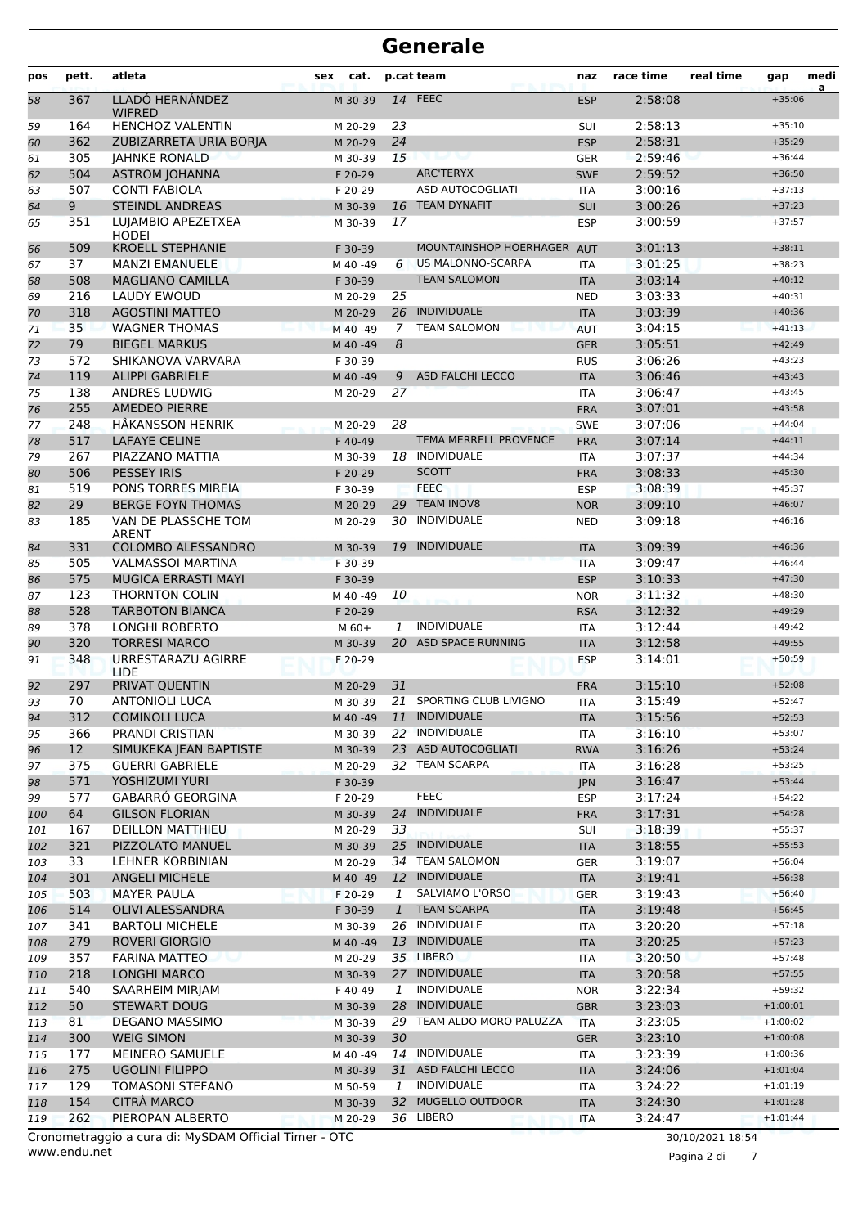| pos | pett.           | atleta                                 | cat.<br>sex |              | p.cat team                                  | naz        | race time          | real time | gap                  | medi<br>a |
|-----|-----------------|----------------------------------------|-------------|--------------|---------------------------------------------|------------|--------------------|-----------|----------------------|-----------|
| 58  | 367             | LLADÓ HERNÁNDEZ<br><b>WIFRED</b>       | M 30-39     |              | $14$ FEEC                                   | <b>ESP</b> | 2:58:08            |           | $+35:06$             |           |
| 59  | 164             | <b>HENCHOZ VALENTIN</b>                | M 20-29     | 23           |                                             | SUI        | 2:58:13            |           | $+35:10$             |           |
| 60  | 362             | ZUBIZARRETA URIA BORIA                 | M 20-29     | 24           |                                             | <b>ESP</b> | 2:58:31            |           | $+35:29$             |           |
| 61  | 305             | <b>JAHNKE RONALD</b>                   | M 30-39     | 15           |                                             | <b>GER</b> | 2:59:46            |           | $+36:44$             |           |
| 62  | 504             | <b>ASTROM JOHANNA</b>                  | F 20-29     |              | <b>ARC'TERYX</b>                            | <b>SWE</b> | 2:59:52            |           | $+36:50$             |           |
| 63  | 507             | <b>CONTI FABIOLA</b>                   | F 20-29     |              | <b>ASD AUTOCOGLIATI</b>                     | <b>ITA</b> | 3:00:16            |           | $+37:13$             |           |
| 64  | 9               | <b>STEINDL ANDREAS</b>                 | M 30-39     | 16           | <b>TEAM DYNAFIT</b>                         | <b>SUI</b> | 3:00:26            |           | $+37:23$             |           |
| 65  | 351             | LUIAMBIO APEZETXEA<br><b>HODEI</b>     | M 30-39     | 17           |                                             | <b>ESP</b> | 3:00:59            |           | $+37:57$             |           |
| 66  | 509             | <b>KROELL STEPHANIE</b>                | F 30-39     |              | <b>MOUNTAINSHOP HOERHAGER</b>               | <b>AUT</b> | 3:01:13            |           | $+38:11$             |           |
| 67  | 37              | <b>MANZI EMANUELE</b>                  | M 40 -49    | 6            | US MALONNO-SCARPA                           | <b>ITA</b> | 3:01:25            |           | $+38:23$             |           |
| 68  | 508             | <b>MAGLIANO CAMILLA</b>                | F 30-39     |              | <b>TEAM SALOMON</b>                         | <b>ITA</b> | 3:03:14            |           | $+40:12$             |           |
| 69  | 216             | <b>LAUDY EWOUD</b>                     | M 20-29     | 25           |                                             | <b>NED</b> | 3:03:33            |           | $+40:31$             |           |
| 70  | 318             | <b>AGOSTINI MATTEO</b>                 | M 20-29     | 26           | <b>INDIVIDUALE</b>                          | <b>ITA</b> | 3:03:39            |           | $+40:36$             |           |
| 71  | 35              | <b>WAGNER THOMAS</b>                   | M 40 -49    | 7            | <b>TEAM SALOMON</b>                         | <b>AUT</b> | 3:04:15            |           | $+41:13$             |           |
| 72  | 79              | <b>BIEGEL MARKUS</b>                   | M 40 - 49   | 8            |                                             | <b>GER</b> | 3:05:51            |           | $+42:49$             |           |
| 73  | 572             | SHIKANOVA VARVARA                      | F 30-39     |              |                                             | <b>RUS</b> | 3:06:26            |           | $+43:23$             |           |
| 74  | 119             | <b>ALIPPI GABRIELE</b>                 | M 40 - 49   | 9            | <b>ASD FALCHI LECCO</b>                     | <b>ITA</b> | 3:06:46            |           | $+43:43$             |           |
| 75  | 138             | <b>ANDRES LUDWIG</b>                   | M 20-29     | 27           |                                             | <b>ITA</b> | 3:06:47            |           | $+43:45$             |           |
| 76  | 255             | <b>AMEDEO PIERRE</b>                   |             |              |                                             | <b>FRA</b> | 3:07:01            |           | $+43:58$             |           |
| 77  | 248             | <b>HÅKANSSON HENRIK</b>                | M 20-29     | 28           |                                             | <b>SWE</b> | 3:07:06            |           | $+44:04$             |           |
| 78  | 517             | <b>LAFAYE CELINE</b>                   | F 40-49     |              | TEMA MERRELL PROVENCE                       | <b>FRA</b> | 3:07:14            |           | $+44:11$             |           |
| 79  | 267             | PIAZZANO MATTIA                        | M 30-39     | 18           | <b>INDIVIDUALE</b>                          | <b>ITA</b> | 3:07:37            |           | $+44:34$             |           |
| 80  | 506             | <b>PESSEY IRIS</b>                     | F 20-29     |              | <b>SCOTT</b>                                | <b>FRA</b> | 3:08:33            |           | $+45:30$             |           |
| 81  | 519             | PONS TORRES MIREIA                     | F 30-39     |              | <b>FEEC</b>                                 | <b>ESP</b> | 3:08:39            |           | $+45:37$             |           |
| 82  | 29              | <b>BERGE FOYN THOMAS</b>               | M 20-29     | 29           | <b>TEAM INOV8</b>                           | <b>NOR</b> | 3:09:10            |           | $+46:07$             |           |
| 83  | 185             | VAN DE PLASSCHE TOM<br><b>ARENT</b>    | M 20-29     | 30           | INDIVIDUALE                                 | <b>NED</b> | 3:09:18            |           | $+46:16$             |           |
| 84  | 331             | COLOMBO ALESSANDRO                     | M 30-39     | 19           | <b>INDIVIDUALE</b>                          | <b>ITA</b> | 3:09:39            |           | $+46:36$             |           |
| 85  | 505             | <b>VALMASSOI MARTINA</b>               | F 30-39     |              |                                             | <b>ITA</b> | 3:09:47            |           | $+46:44$             |           |
| 86  | 575             | <b>MUGICA ERRASTI MAYI</b>             | F 30-39     |              |                                             | <b>ESP</b> | 3:10:33            |           | $+47:30$             |           |
| 87  | 123             | <b>THORNTON COLIN</b>                  | M 40 -49    | 10           |                                             | <b>NOR</b> | 3:11:32            |           | $+48:30$             |           |
| 88  | 528             | <b>TARBOTON BIANCA</b>                 | F 20-29     |              |                                             | <b>RSA</b> | 3:12:32            |           | $+49:29$             |           |
| 89  | 378             | <b>LONGHI ROBERTO</b>                  | $M$ 60+     | $\mathbf{1}$ | <b>INDIVIDUALE</b>                          | <b>ITA</b> | 3:12:44            |           | $+49:42$             |           |
| 90  | 320             | <b>TORRESI MARCO</b>                   | M 30-39     | 20           | <b>ASD SPACE RUNNING</b>                    | <b>ITA</b> | 3:12:58            |           | $+49:55$             |           |
| 91  | 348             | URRESTARAZU AGIRRE<br><b>LIDE</b>      | F 20-29     |              |                                             | <b>ESP</b> | 3:14:01            |           | $+50:59$             |           |
| 92  | 297             | PRIVAT QUENTIN                         | M 20-29     | 31           |                                             | <b>FRA</b> | 3:15:10            |           | $+52:08$             |           |
| 93  | 70              | <b>ANTONIOLI LUCA</b>                  | M 30-39     |              | 21 SPORTING CLUB LIVIGNO                    | <b>ITA</b> | 3:15:49            |           | $+52:47$             |           |
| 94  | 312             | <b>COMINOLI LUCA</b>                   | M 40 -49    |              | 11 INDIVIDUALE                              | ITA        | 3:15:56            |           | $+52:53$             |           |
| 95  | 366             | PRANDI CRISTIAN                        | M 30-39     |              | 22 INDIVIDUALE                              | ITA        | 3:16:10            |           | $+53:07$             |           |
| 96  | 12 <sup>2</sup> | SIMUKEKA JEAN BAPTISTE                 | M 30-39     |              | 23 ASD AUTOCOGLIATI                         | <b>RWA</b> | 3:16:26            |           | $+53:24$             |           |
| 97  | 375             | <b>GUERRI GABRIELE</b>                 | M 20-29     |              | 32 TEAM SCARPA                              | ITA        | 3:16:28            |           | $+53:25$             |           |
| 98  | 571             | <b>YOSHIZUMI YURI</b>                  | F 30-39     |              |                                             | <b>JPN</b> | 3:16:47            |           | $+53:44$             |           |
| 99  | 577             | <b>GABARRO GEORGINA</b>                | F 20-29     |              | <b>FEEC</b>                                 | <b>ESP</b> | 3:17:24            |           | $+54:22$             |           |
| 100 | 64              | <b>GILSON FLORIAN</b>                  | M 30-39     | 24           | <b>INDIVIDUALE</b>                          | <b>FRA</b> | 3:17:31            |           | $+54:28$             |           |
| 101 | 167             | <b>DEILLON MATTHIEU</b>                | M 20-29     | 33           |                                             | SUI        | 3:18:39            |           | $+55:37$             |           |
| 102 | 321             | PIZZOLATO MANUEL                       | M 30-39     |              | 25 INDIVIDUALE<br><b>TEAM SALOMON</b>       | <b>ITA</b> | 3:18:55            |           | $+55:53$             |           |
| 103 | 33              | LEHNER KORBINIAN                       | M 20-29     | 34           | 12 INDIVIDUALE                              | <b>GER</b> | 3:19:07            |           | $+56:04$             |           |
| 104 | 301             | <b>ANGELI MICHELE</b>                  | M 40 - 49   |              | SALVIAMO L'ORSO                             | <b>ITA</b> | 3:19:41            |           | $+56:38$             |           |
| 105 | 503             | <b>MAYER PAULA</b>                     | F 20-29     | 1            | <b>TEAM SCARPA</b>                          | <b>GER</b> | 3:19:43            |           | $+56:40$             |           |
| 106 | 514             | <b>OLIVI ALESSANDRA</b>                | F 30-39     | $\mathbf{1}$ | 26 INDIVIDUALE                              | <b>ITA</b> | 3:19:48            |           | $+56:45$             |           |
| 107 | 341             | <b>BARTOLI MICHELE</b>                 | M 30-39     |              | 13 INDIVIDUALE                              | ITA        | 3:20:20            |           | $+57:18$             |           |
| 108 | 279             | <b>ROVERI GIORGIO</b>                  | M 40 -49    |              | 35 LIBERO                                   | <b>ITA</b> | 3:20:25            |           | $+57:23$             |           |
| 109 | 357             | <b>FARINA MATTEO</b>                   | M 20-29     |              |                                             | ITA        | 3:20:50            |           | $+57:48$             |           |
| 110 | 218<br>540      | <b>LONGHI MARCO</b><br>SAARHEIM MIRJAM | M 30-39     | 1            | 27 INDIVIDUALE<br>INDIVIDUALE               | <b>ITA</b> | 3:20:58<br>3:22:34 |           | $+57:55$<br>$+59:32$ |           |
| 111 |                 |                                        | F 40-49     |              |                                             | <b>NOR</b> |                    |           |                      |           |
| 112 | 50              | <b>STEWART DOUG</b>                    | M 30-39     |              | 28 INDIVIDUALE<br>29 TEAM ALDO MORO PALUZZA | <b>GBR</b> | 3:23:03            |           | $+1:00:01$           |           |
| 113 | 81              | DEGANO MASSIMO                         | M 30-39     |              |                                             | <b>ITA</b> | 3:23:05            |           | $+1:00:02$           |           |
| 114 | 300             | <b>WEIG SIMON</b>                      | M 30-39     | 30           | INDIVIDUALE                                 | <b>GER</b> | 3:23:10            |           | $+1:00:08$           |           |
| 115 | 177             | MEINERO SAMUELE                        | M 40 -49    | 14           |                                             | ITA        | 3:23:39            |           | $+1:00:36$           |           |
| 116 | 275             | <b>UGOLINI FILIPPO</b>                 | M 30-39     |              | 31 ASD FALCHI LECCO<br>INDIVIDUALE          | <b>ITA</b> | 3:24:06            |           | $+1:01:04$           |           |
| 117 | 129             | <b>TOMASONI STEFANO</b>                | M 50-59     | 1<br>32      | <b>MUGELLO OUTDOOR</b>                      | ITA        | 3:24:22            |           | $+1:01:19$           |           |
| 118 | 154             | <b>CITRÀ MARCO</b>                     | M 30-39     |              | 36 LIBERO                                   | <b>ITA</b> | 3:24:30            |           | $+1:01:28$           |           |
| 119 | 262             | PIEROPAN ALBERTO                       | M 20-29     |              |                                             | <b>ITA</b> | 3:24:47            |           | $+1:01:44$           |           |

www.endu.net Cronometraggio a cura di: MySDAM Official Timer - OTC 30/10/2021 18:54

Pagina 2 di 7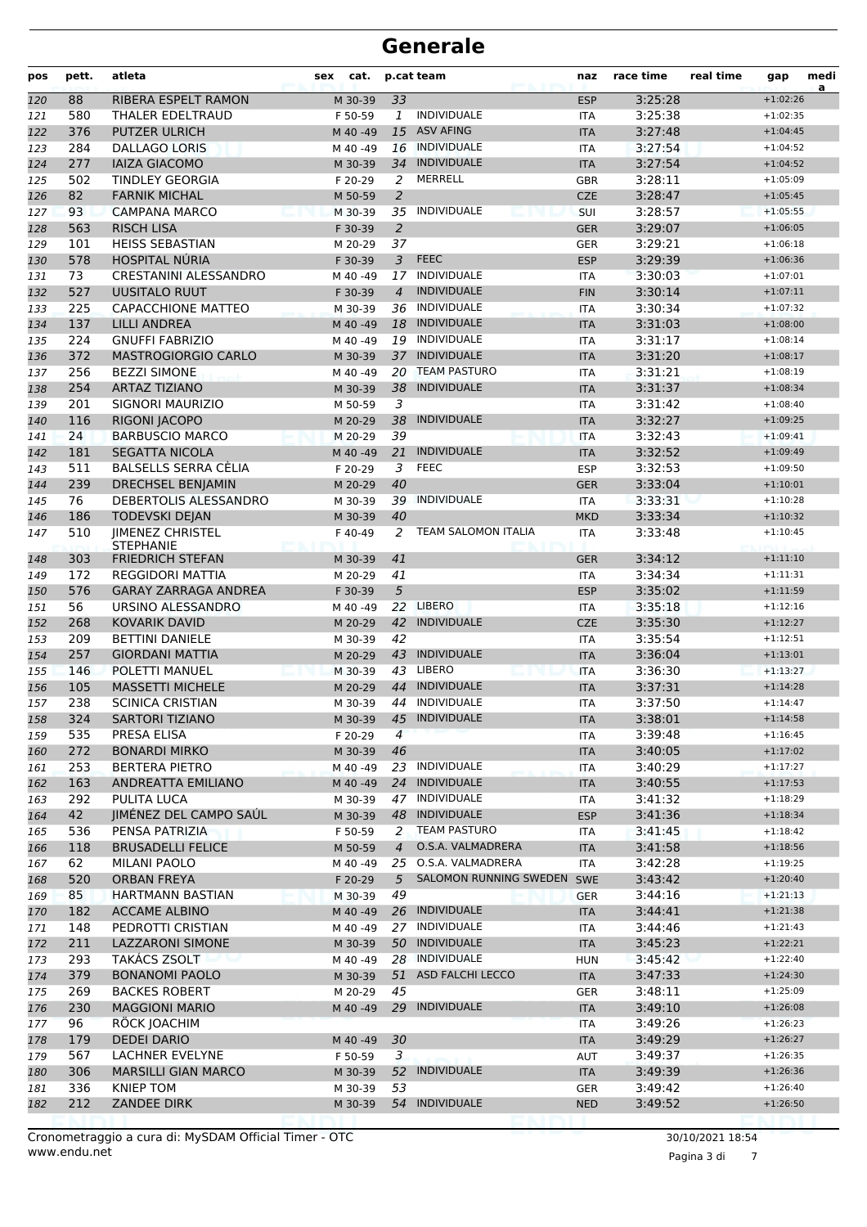| pos | pett. | atleta                                      | sex<br>cat. |                | p.cat team                 | naz        | race time | real time | gap        | medi<br>a |
|-----|-------|---------------------------------------------|-------------|----------------|----------------------------|------------|-----------|-----------|------------|-----------|
| 120 | 88    | RIBERA ESPELT RAMON                         | M 30-39     | 33             |                            | <b>ESP</b> | 3:25:28   |           | $+1:02:26$ |           |
| 121 | 580   | THALER EDELTRAUD                            | F 50-59     | $\mathbf{1}$   | <b>INDIVIDUALE</b>         | <b>ITA</b> | 3:25:38   |           | $+1:02:35$ |           |
| 122 | 376   | <b>PUTZER ULRICH</b>                        | M 40 -49    | 15             | <b>ASV AFING</b>           | <b>ITA</b> | 3:27:48   |           | $+1:04:45$ |           |
| 123 | 284   | <b>DALLAGO LORIS</b>                        | M 40 -49    |                | 16 INDIVIDUALE             | <b>ITA</b> | 3:27:54   |           | $+1:04:52$ |           |
| 124 | 277   | <b>IAIZA GIACOMO</b>                        | M 30-39     | 34             | <b>INDIVIDUALE</b>         | <b>ITA</b> | 3:27:54   |           | $+1:04:52$ |           |
| 125 | 502   | <b>TINDLEY GEORGIA</b>                      | F 20-29     | 2              | <b>MERRELL</b>             | GBR        | 3:28:11   |           | $+1:05:09$ |           |
| 126 | 82    | <b>FARNIK MICHAL</b>                        | M 50-59     | 2              |                            | <b>CZE</b> | 3:28:47   |           | $+1:05:45$ |           |
| 127 | 93    | <b>CAMPANA MARCO</b>                        | M 30-39     |                | 35 INDIVIDUALE             | SUI        | 3:28:57   |           | $+1:05:55$ |           |
| 128 | 563   | <b>RISCH LISA</b>                           | F 30-39     | $\overline{2}$ |                            | <b>GER</b> | 3:29:07   |           | $+1:06:05$ |           |
| 129 | 101   | <b>HEISS SEBASTIAN</b>                      | M 20-29     | 37             |                            | <b>GER</b> | 3:29:21   |           | $+1:06:18$ |           |
| 130 | 578   | <b>HOSPITAL NÚRIA</b>                       | F 30-39     | $\overline{3}$ | <b>FEEC</b>                | <b>ESP</b> | 3:29:39   |           | $+1:06:36$ |           |
| 131 | 73    | <b>CRESTANINI ALESSANDRO</b>                | M 40 -49    |                | 17 INDIVIDUALE             | <b>ITA</b> | 3:30:03   |           | $+1:07:01$ |           |
| 132 | 527   | <b>UUSITALO RUUT</b>                        | F 30-39     | $\overline{4}$ | <b>INDIVIDUALE</b>         | <b>FIN</b> | 3:30:14   |           | $+1:07:11$ |           |
| 133 | 225   | <b>CAPACCHIONE MATTEO</b>                   | M 30-39     |                | 36 INDIVIDUALE             | <b>ITA</b> | 3:30:34   |           | $+1:07:32$ |           |
| 134 | 137   | <b>LILLI ANDREA</b>                         | M 40 -49    |                | 18 INDIVIDUALE             | <b>ITA</b> | 3:31:03   |           | $+1:08:00$ |           |
| 135 | 224   | <b>GNUFFI FABRIZIO</b>                      | M 40 -49    |                | 19 INDIVIDUALE             | <b>ITA</b> | 3:31:17   |           | $+1:08:14$ |           |
| 136 | 372   | <b>MASTROGIORGIO CARLO</b>                  | M 30-39     | 37             | <b>INDIVIDUALE</b>         | <b>ITA</b> | 3:31:20   |           | $+1:08:17$ |           |
| 137 | 256   | <b>BEZZI SIMONE</b>                         | M 40 -49    |                | 20 TEAM PASTURO            | <b>ITA</b> | 3:31:21   |           | $+1:08:19$ |           |
| 138 | 254   | <b>ARTAZ TIZIANO</b>                        | M 30-39     | 38             | <b>INDIVIDUALE</b>         | <b>ITA</b> | 3:31:37   |           | $+1:08:34$ |           |
| 139 | 201   | <b>SIGNORI MAURIZIO</b>                     | M 50-59     | 3              |                            | <b>ITA</b> | 3:31:42   |           | $+1:08:40$ |           |
| 140 | 116   | RIGONI JACOPO                               | M 20-29     | 38             | <b>INDIVIDUALE</b>         | <b>ITA</b> | 3:32:27   |           | $+1:09:25$ |           |
| 141 | 24    | <b>BARBUSCIO MARCO</b>                      | M 20-29     | 39             |                            | <b>ITA</b> | 3:32:43   |           | $+1:09:41$ |           |
| 142 | 181   | <b>SEGATTA NICOLA</b>                       | M 40 -49    | 21             | <b>INDIVIDUALE</b>         | <b>ITA</b> | 3:32:52   |           | $+1:09:49$ |           |
| 143 | 511   | BALSELLS SERRA CÈLIA                        | F 20-29     | 3              | <b>FEEC</b>                | <b>ESP</b> | 3:32:53   |           | $+1:09:50$ |           |
| 144 | 239   | <b>DRECHSEL BENJAMIN</b>                    | M 20-29     | 40             |                            | <b>GER</b> | 3:33:04   |           | $+1:10:01$ |           |
| 145 | 76    | DEBERTOLIS ALESSANDRO                       | M 30-39     | 39             | <b>INDIVIDUALE</b>         | <b>ITA</b> | 3:33:31   |           | $+1:10:28$ |           |
| 146 | 186   | <b>TODEVSKI DEJAN</b>                       | M 30-39     | 40             |                            | <b>MKD</b> | 3:33:34   |           | $+1:10:32$ |           |
| 147 | 510   | <b>IIMENEZ CHRISTEL</b><br><b>STEPHANIE</b> | F40-49      | 2              | <b>TEAM SALOMON ITALIA</b> | <b>ITA</b> | 3:33:48   |           | $+1:10:45$ |           |
| 148 | 303   | <b>FRIEDRICH STEFAN</b>                     | M 30-39     | 41             |                            | <b>GER</b> | 3:34:12   |           | $+1:11:10$ |           |
| 149 | 172   | <b>REGGIDORI MATTIA</b>                     | M 20-29     | 41             |                            | <b>ITA</b> | 3:34:34   |           | $+1:11:31$ |           |
| 150 | 576   | <b>GARAY ZARRAGA ANDREA</b>                 | F 30-39     | 5              |                            | <b>ESP</b> | 3:35:02   |           | $+1:11:59$ |           |
| 151 | 56    | URSINO ALESSANDRO                           | M 40 - 49   | 22             | <b>LIBERO</b>              | <b>ITA</b> | 3:35:18   |           | $+1:12:16$ |           |
| 152 | 268   | <b>KOVARIK DAVID</b>                        | M 20-29     | 42             | <b>INDIVIDUALE</b>         | <b>CZE</b> | 3:35:30   |           | $+1:12:27$ |           |
| 153 | 209   | <b>BETTINI DANIELE</b>                      | M 30-39     | 42             |                            | <b>ITA</b> | 3:35:54   |           | $+1:12:51$ |           |
| 154 | 257   | <b>GIORDANI MATTIA</b>                      | M 20-29     | 43             | <b>INDIVIDUALE</b>         | <b>ITA</b> | 3:36:04   |           | $+1:13:01$ |           |
| 155 | 146   | POLETTI MANUEL                              | M 30-39     | 43             | <b>LIBERO</b>              | <b>ITA</b> | 3:36:30   |           | $+1:13:27$ |           |
| 156 | 105   | <b>MASSETTI MICHELE</b>                     | M 20-29     | 44             | <b>INDIVIDUALE</b>         | <b>ITA</b> | 3:37:31   |           | $+1:14:28$ |           |
| 157 | 238   | <b>SCINICA CRISTIAN</b>                     | M 30-39     |                | 44 INDIVIDUALE             | <b>ITA</b> | 3:37:50   |           | $+1:14:47$ |           |
| 158 | 324   | SARTORI TIZIANO                             | M 30-39     |                | 45 INDIVIDUALE             | <b>ITA</b> | 3:38:01   |           | $+1:14:58$ |           |
| 159 | 535   | PRESA ELISA                                 | F 20-29     | $\overline{4}$ |                            | ITA        | 3:39:48   |           | $+1:16:45$ |           |
| 160 | 272   | <b>BONARDI MIRKO</b>                        | M 30-39     | 46             |                            | <b>ITA</b> | 3:40:05   |           | $+1:17:02$ |           |
| 161 | 253   | <b>BERTERA PIETRO</b>                       | M 40 -49    |                | 23 INDIVIDUALE             | ITA        | 3:40:29   |           | $+1:17:27$ |           |
| 162 | 163   | ANDREATTA EMILIANO                          | M 40 - 49   |                | 24 INDIVIDUALE             | <b>ITA</b> | 3:40:55   |           | $+1:17:53$ |           |
| 163 | 292   | PULITA LUCA                                 | M 30-39     |                | 47 INDIVIDUALE             | ITA        | 3:41:32   |           | $+1:18:29$ |           |
| 164 | 42    | JIMÉNEZ DEL CAMPO SAÚL                      | M 30-39     |                | 48 INDIVIDUALE             | <b>ESP</b> | 3:41:36   |           | $+1:18:34$ |           |
| 165 | 536   | PENSA PATRIZIA                              | F 50-59     |                | 2 TEAM PASTURO             | ITA        | 3:41:45   |           | $+1:18:42$ |           |
| 166 | 118   | <b>BRUSADELLI FELICE</b>                    | M 50-59     | $\overline{4}$ | O.S.A. VALMADRERA          | <b>ITA</b> | 3:41:58   |           | $+1:18:56$ |           |
| 167 | 62    | MILANI PAOLO                                | M 40 -49    |                | 25 O.S.A. VALMADRERA       | ITA        | 3:42:28   |           | $+1:19:25$ |           |
| 168 | 520   | <b>ORBAN FREYA</b>                          | F 20-29     | 5 <sup>5</sup> | SALOMON RUNNING SWEDEN     | SWE        | 3:43:42   |           | $+1:20:40$ |           |
| 169 | 85    | HARTMANN BASTIAN                            | M 30-39     | 49             |                            | <b>GER</b> | 3:44:16   |           | $+1:21:13$ |           |
| 170 | 182   | <b>ACCAME ALBINO</b>                        | M 40 -49    |                | 26 INDIVIDUALE             | <b>ITA</b> | 3:44:41   |           | $+1:21:38$ |           |
| 171 | 148   | PEDROTTI CRISTIAN                           | M 40 -49    |                | 27 INDIVIDUALE             | ITA        | 3:44:46   |           | $+1:21:43$ |           |
| 172 | 211   | LAZZARONI SIMONE                            | M 30-39     |                | 50 INDIVIDUALE             | <b>ITA</b> | 3:45:23   |           | $+1:22:21$ |           |
| 173 | 293   | <b>TAKACS ZSOLT</b>                         | M 40 -49    |                | 28 INDIVIDUALE             | <b>HUN</b> | 3:45:42   |           | $+1:22:40$ |           |
| 174 | 379   | <b>BONANOMI PAOLO</b>                       | M 30-39     | 51             | ASD FALCHI LECCO           | <b>ITA</b> | 3:47:33   |           | $+1:24:30$ |           |
| 175 | 269   | <b>BACKES ROBERT</b>                        | M 20-29     | 45             |                            | <b>GER</b> | 3:48:11   |           | $+1:25:09$ |           |
| 176 | 230   | <b>MAGGIONI MARIO</b>                       | M 40 -49    |                | 29 INDIVIDUALE             | <b>ITA</b> | 3:49:10   |           | $+1:26:08$ |           |
| 177 | 96    | RÖCK JOACHIM                                |             |                |                            | ITA        | 3:49:26   |           | $+1:26:23$ |           |
| 178 | 179   | <b>DEDEI DARIO</b>                          | M 40 -49    | 30             |                            | <b>ITA</b> | 3:49:29   |           | $+1:26:27$ |           |
| 179 | 567   | LACHNER EVELYNE                             | F 50-59     | 3              |                            | AUT        | 3:49:37   |           | $+1:26:35$ |           |
| 180 | 306   | <b>MARSILLI GIAN MARCO</b>                  | M 30-39     | 52             | <b>INDIVIDUALE</b>         | <b>ITA</b> | 3:49:39   |           | $+1:26:36$ |           |
| 181 | 336   | KNIEP TOM                                   | M 30-39     | 53             |                            | <b>GER</b> | 3:49:42   |           | $+1:26:40$ |           |
| 182 | 212   | <b>ZANDEE DIRK</b>                          | M 30-39     |                | 54 INDIVIDUALE             | <b>NED</b> | 3:49:52   |           | $+1:26:50$ |           |
|     |       |                                             |             |                |                            |            |           |           |            |           |

Pagina 3 di 7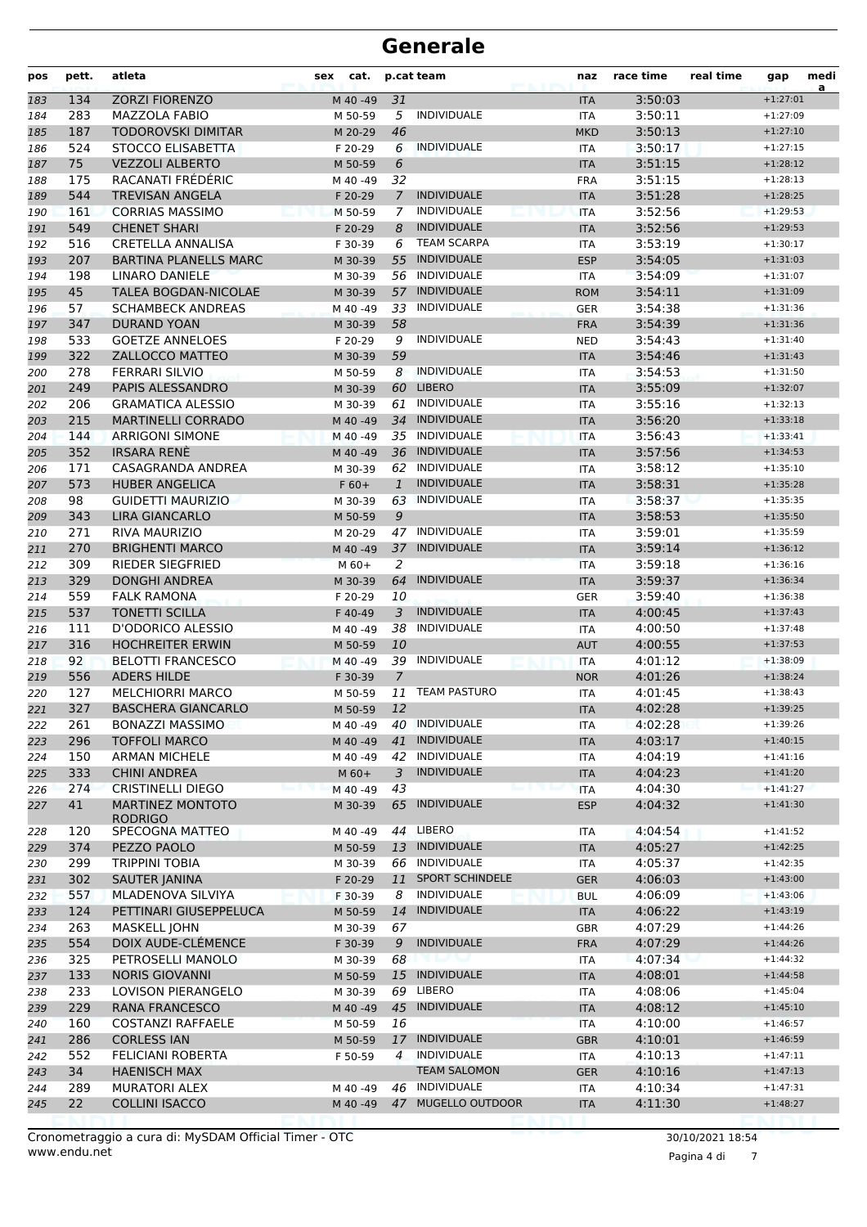| pos        | pett.      | atleta                                                   | cat.<br>sex        |                | p.cat team                               | naz                      | race time          | real time | gap                      | medi<br>a |
|------------|------------|----------------------------------------------------------|--------------------|----------------|------------------------------------------|--------------------------|--------------------|-----------|--------------------------|-----------|
| 183        | 134        | <b>ZORZI FIORENZO</b>                                    | M 40 -49           | 31             |                                          | <b>ITA</b>               | 3:50:03            |           | $+1:27:01$               |           |
| 184        | 283        | MAZZOLA FABIO                                            | M 50-59            | 5              | <b>INDIVIDUALE</b>                       | ITA                      | 3:50:11            |           | $+1:27:09$               |           |
| 185        | 187        | <b>TODOROVSKI DIMITAR</b>                                | M 20-29            | 46             |                                          | <b>MKD</b>               | 3:50:13            |           | $+1:27:10$               |           |
| 186        | 524        | STOCCO ELISABETTA                                        | F 20-29            | 6              | <b>INDIVIDUALE</b>                       | <b>ITA</b>               | 3:50:17            |           | $+1:27:15$               |           |
| 187        | 75         | <b>VEZZOLI ALBERTO</b>                                   | M 50-59            | 6              |                                          | <b>ITA</b>               | 3:51:15            |           | $+1:28:12$               |           |
| 188        | 175        | RACANATI FRÉDÉRIC                                        | M 40 -49           | 32             |                                          | <b>FRA</b>               | 3:51:15            |           | $+1:28:13$               |           |
| 189        | 544        | TREVISAN ANGELA                                          | F 20-29            | $\overline{7}$ | <b>INDIVIDUALE</b>                       | <b>ITA</b>               | 3:51:28            |           | $+1:28:25$               |           |
| 190        | 161        | <b>CORRIAS MASSIMO</b>                                   | M 50-59            | 7              | <b>INDIVIDUALE</b>                       | <b>ITA</b>               | 3:52:56            |           | $+1:29:53$               |           |
| 191        | 549        | <b>CHENET SHARI</b>                                      | F 20-29            | 8              | <b>INDIVIDUALE</b><br><b>TEAM SCARPA</b> | <b>ITA</b>               | 3:52:56            |           | $+1:29:53$<br>$+1:30:17$ |           |
| 192<br>193 | 516<br>207 | <b>CRETELLA ANNALISA</b><br><b>BARTINA PLANELLS MARC</b> | F 30-39<br>M 30-39 | 6<br>55        | <b>INDIVIDUALE</b>                       | <b>ITA</b><br><b>ESP</b> | 3:53:19<br>3:54:05 |           | $+1:31:03$               |           |
| 194        | 198        | LINARO DANIELE                                           | M 30-39            | 56             | INDIVIDUALE                              | <b>ITA</b>               | 3:54:09            |           | $+1:31:07$               |           |
| 195        | 45         | TALEA BOGDAN-NICOLAE                                     | M 30-39            | 57             | <b>INDIVIDUALE</b>                       | <b>ROM</b>               | 3:54:11            |           | $+1:31:09$               |           |
| 196        | 57         | <b>SCHAMBECK ANDREAS</b>                                 | M 40-49            |                | 33 INDIVIDUALE                           | <b>GER</b>               | 3:54:38            |           | $+1:31:36$               |           |
| 197        | 347        | <b>DURAND YOAN</b>                                       | M 30-39            | 58             |                                          | <b>FRA</b>               | 3:54:39            |           | $+1:31:36$               |           |
| 198        | 533        | <b>GOETZE ANNELOES</b>                                   | F 20-29            | 9              | <b>INDIVIDUALE</b>                       | <b>NED</b>               | 3:54:43            |           | $+1:31:40$               |           |
| 199        | 322        | ZALLOCCO MATTEO                                          | M 30-39            | 59             |                                          | <b>ITA</b>               | 3:54:46            |           | $+1:31:43$               |           |
| 200        | 278        | <b>FERRARI SILVIO</b>                                    | M 50-59            | 8              | <b>INDIVIDUALE</b>                       | <b>ITA</b>               | 3:54:53            |           | $+1:31:50$               |           |
| 201        | 249        | PAPIS ALESSANDRO                                         | M 30-39            | 60             | <b>LIBERO</b>                            | <b>ITA</b>               | 3:55:09            |           | $+1:32:07$               |           |
| 202        | 206        | <b>GRAMATICA ALESSIO</b>                                 | M 30-39            |                | 61 INDIVIDUALE                           | <b>ITA</b>               | 3:55:16            |           | $+1:32:13$               |           |
| 203        | 215        | <b>MARTINELLI CORRADO</b>                                | M 40 -49           | 34             | <b>INDIVIDUALE</b>                       | <b>ITA</b>               | 3:56:20            |           | $+1:33:18$               |           |
| 204        | 144        | <b>ARRIGONI SIMONE</b>                                   | M 40 -49           |                | 35 INDIVIDUALE                           | <b>ITA</b>               | 3:56:43            |           | $+1:33:41$               |           |
| 205        | 352        | <b>IRSARA RENÉ</b>                                       | M 40 - 49          | 36             | <b>INDIVIDUALE</b>                       | <b>ITA</b>               | 3:57:56            |           | $+1:34:53$               |           |
| 206        | 171        | CASAGRANDA ANDREA                                        | M 30-39            | 62             | <b>INDIVIDUALE</b>                       | <b>ITA</b>               | 3:58:12            |           | $+1:35:10$               |           |
| 207        | 573        | <b>HUBER ANGELICA</b>                                    | $F60+$             | $\mathbf{1}$   | <b>INDIVIDUALE</b>                       | <b>ITA</b>               | 3:58:31            |           | $+1:35:28$               |           |
| 208        | 98         | <b>GUIDETTI MAURIZIO</b>                                 | M 30-39            |                | 63 INDIVIDUALE                           | ITA                      | 3:58:37            |           | $+1:35:35$               |           |
| 209        | 343        | <b>LIRA GIANCARLO</b>                                    | M 50-59            | 9              |                                          | <b>ITA</b>               | 3:58:53            |           | $+1:35:50$               |           |
| 210        | 271        | <b>RIVA MAURIZIO</b>                                     | M 20-29            | 47             | <b>INDIVIDUALE</b>                       | <b>ITA</b>               | 3:59:01            |           | $+1:35:59$               |           |
| 211        | 270        | <b>BRIGHENTI MARCO</b>                                   | M 40 -49           | 37             | <b>INDIVIDUALE</b>                       | <b>ITA</b>               | 3:59:14            |           | $+1:36:12$               |           |
| 212        | 309        | <b>RIEDER SIEGFRIED</b>                                  | $M$ 60+            | 2              |                                          | <b>ITA</b>               | 3:59:18            |           | $+1:36:16$               |           |
| 213        | 329        | <b>DONGHI ANDREA</b>                                     | M 30-39            | 64             | <b>INDIVIDUALE</b>                       | <b>ITA</b>               | 3:59:37            |           | $+1:36:34$               |           |
| 214        | 559        | <b>FALK RAMONA</b>                                       | F 20-29            | 10             |                                          | <b>GER</b>               | 3:59:40            |           | $+1:36:38$               |           |
| 215        | 537        | <b>TONETTI SCILLA</b>                                    | F 40-49            | 3              | <b>INDIVIDUALE</b>                       | <b>ITA</b>               | 4:00:45            |           | $+1:37:43$               |           |
| 216        | 111        | D'ODORICO ALESSIO                                        | M 40 -49           | 38             | <b>INDIVIDUALE</b>                       | <b>ITA</b>               | 4:00:50            |           | $+1:37:48$               |           |
| 217        | 316        | <b>HOCHREITER ERWIN</b>                                  | M 50-59            | 10             |                                          | AUT                      | 4:00:55            |           | $+1:37:53$               |           |
| 218        | 92         | <b>BELOTTI FRANCESCO</b>                                 | M 40 - 49          | 39             | <b>INDIVIDUALE</b>                       | <b>ITA</b>               | 4:01:12            |           | $+1:38:09$               |           |
| 219        | 556        | <b>ADERS HILDE</b>                                       | F 30-39            | 7              |                                          | <b>NOR</b>               | 4:01:26            |           | $+1:38:24$               |           |
| 220        | 127        | <b>MELCHIORRI MARCO</b>                                  | M 50-59            | 11             | <b>TEAM PASTURO</b>                      | <b>ITA</b>               | 4:01:45            |           | $+1:38:43$               |           |
| 221        | 327        | <b>BASCHERA GIANCARLO</b>                                | M 50-59            | 12             |                                          | <b>ITA</b>               | 4:02:28            |           | $+1:39:25$               |           |
| 222        | 261        | <b>BONAZZI MASSIMO</b>                                   | M 40 -49           | 40             | <b>INDIVIDUALE</b>                       | ITA                      | 4:02:28            |           | $+1:39:26$               |           |
| 223        | 296        | <b>TOFFOLI MARCO</b>                                     | M 40 - 49          | 41             | <b>INDIVIDUALE</b>                       | <b>ITA</b>               | 4:03:17            |           | $+1:40:15$               |           |
| 224        | 150        | <b>ARMAN MICHELE</b>                                     | M 40 -49           | 42             | <b>INDIVIDUALE</b>                       | ITA                      | 4:04:19            |           | $+1:41:16$               |           |
| 225        | 333        | <b>CHINI ANDREA</b>                                      | $M_60+$            | 3              | <b>INDIVIDUALE</b>                       | <b>ITA</b>               | 4:04:23            |           | $+1:41:20$               |           |
| 226        | 274        | <b>CRISTINELLI DIEGO</b>                                 | M 40 - 49          | 43             |                                          | <b>ITA</b>               | 4:04:30            |           | $+1:41:27$               |           |
| 227        | 41         | <b>MARTINEZ MONTOTO</b><br><b>RODRIGO</b>                | M 30-39            | 65             | <b>INDIVIDUALE</b>                       | <b>ESP</b>               | 4:04:32            |           | $+1:41:30$               |           |
| 228        | 120        | SPECOGNA MATTEO                                          | M 40 -49           |                | 44 LIBERO                                | ITA                      | 4:04:54            |           | $+1:41:52$               |           |
| 229        | 374        | PEZZO PAOLO                                              | M 50-59            | 13             | <b>INDIVIDUALE</b>                       | <b>ITA</b>               | 4:05:27            |           | $+1:42:25$               |           |
| 230        | 299        | <b>TRIPPINI TOBIA</b>                                    | M 30-39            | 66             | INDIVIDUALE                              | ITA                      | 4:05:37            |           | $+1:42:35$               |           |
| 231        | 302        | SAUTER JANINA                                            | F 20-29            | 11             | <b>SPORT SCHINDELE</b>                   | <b>GER</b>               | 4:06:03            |           | $+1:43:00$               |           |
| 232        | 557        | MLADENOVA SILVIYA                                        | F 30-39            | 8              | <b>INDIVIDUALE</b>                       | <b>BUL</b>               | 4:06:09            |           | $+1:43:06$               |           |
| 233        | 124        | PETTINARI GIUSEPPELUCA                                   | M 50-59            | 14             | <b>INDIVIDUALE</b>                       | <b>ITA</b>               | 4:06:22            |           | $+1:43:19$               |           |
| 234        | 263        | <b>MASKELL JOHN</b>                                      | M 30-39            | 67             |                                          | GBR                      | 4:07:29            |           | $+1:44:26$               |           |
| 235        | 554        | DOIX AUDE-CLÉMENCE                                       | F 30-39            | 9              | <b>INDIVIDUALE</b>                       | <b>FRA</b>               | 4:07:29            |           | $+1:44:26$               |           |
| 236        | 325        | PETROSELLI MANOLO                                        | M 30-39            | 68             |                                          | ITA                      | 4:07:34            |           | $+1:44:32$               |           |
| 237        | 133        | <b>NORIS GIOVANNI</b>                                    | M 50-59            | 15             | <b>INDIVIDUALE</b>                       | <b>ITA</b>               | 4:08:01            |           | $+1:44:58$               |           |
| 238        | 233        | LOVISON PIERANGELO                                       | M 30-39            |                | 69 LIBERO                                | ITA                      | 4:08:06            |           | $+1:45:04$               |           |
| 239        | 229        | RANA FRANCESCO                                           | M 40 - 49          | 45             | <b>INDIVIDUALE</b>                       | <b>ITA</b>               | 4:08:12            |           | $+1:45:10$               |           |
| 240        | 160        | <b>COSTANZI RAFFAELE</b>                                 | M 50-59            | 16             |                                          | <b>ITA</b>               | 4:10:00            |           | $+1:46:57$               |           |
| 241        | 286        | <b>CORLESS IAN</b>                                       | M 50-59            | 17             | <b>INDIVIDUALE</b>                       | <b>GBR</b>               | 4:10:01            |           | $+1:46:59$               |           |
| 242        | 552        | FELICIANI ROBERTA                                        | F 50-59            | 4              | <b>INDIVIDUALE</b>                       | ITA                      | 4:10:13            |           | $+1:47:11$               |           |
| 243        | 34         | <b>HAENISCH MAX</b>                                      |                    |                | <b>TEAM SALOMON</b>                      | <b>GER</b>               | 4:10:16            |           | $+1:47:13$               |           |
| 244        | 289        | MURATORI ALEX                                            | M 40 -49           |                | 46 INDIVIDUALE                           | ITA                      | 4:10:34            |           | $+1:47:31$               |           |
| 245        | 22         | COLLINI ISACCO                                           | M 40 -49           | 47             | MUGELLO OUTDOOR                          | <b>ITA</b>               | 4:11:30            |           | $+1:48:27$               |           |
|            |            |                                                          |                    |                |                                          |                          |                    |           |                          |           |

Pagina 4 di 7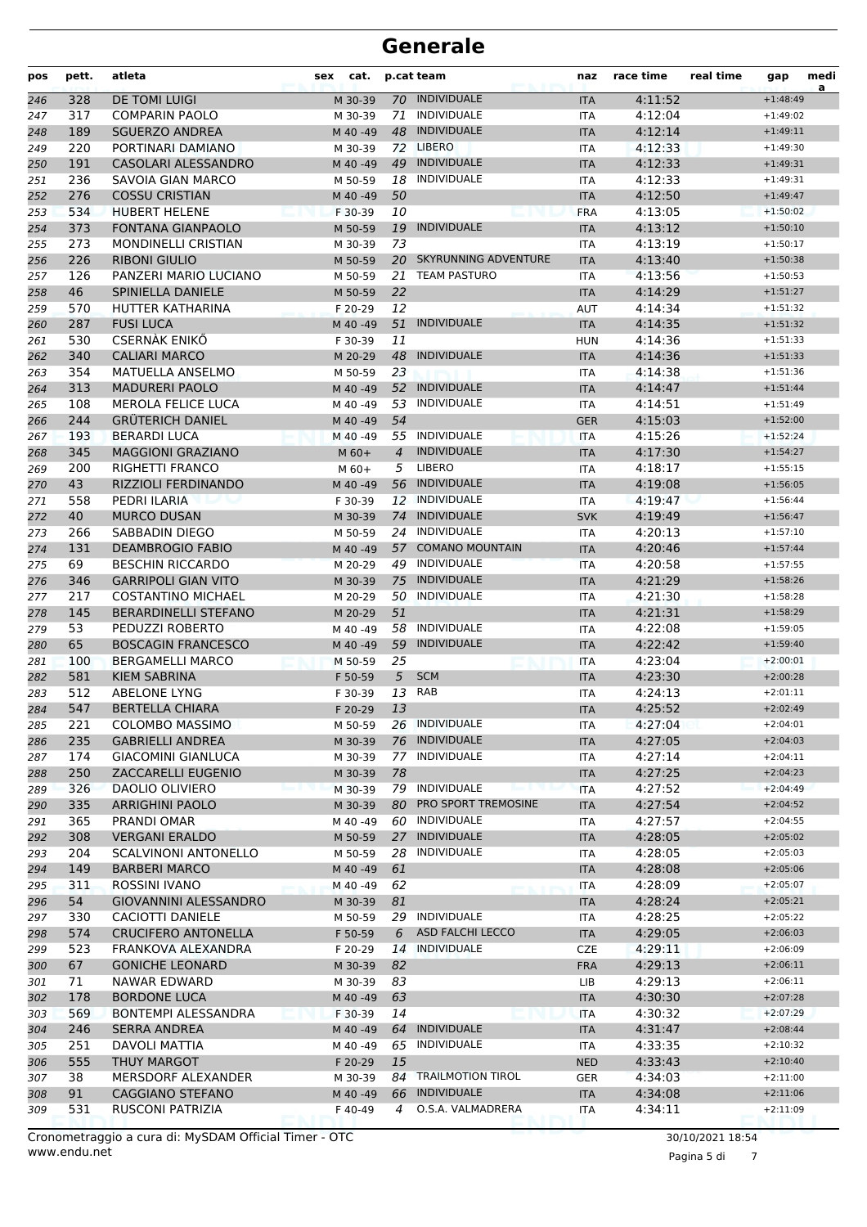| pos | pett. | atleta                       | cat.<br>sex |                | p.cat team              | naz        | race time | real time | gap        | medi<br>a |
|-----|-------|------------------------------|-------------|----------------|-------------------------|------------|-----------|-----------|------------|-----------|
| 246 | 328   | <b>DE TOMI LUIGI</b>         | M 30-39     |                | 70 INDIVIDUALE          | <b>ITA</b> | 4:11:52   |           | $+1:48:49$ |           |
| 247 | 317   | <b>COMPARIN PAOLO</b>        | M 30-39     | 71             | INDIVIDUALE             | ITA        | 4:12:04   |           | $+1:49:02$ |           |
| 248 | 189   | <b>SGUERZO ANDREA</b>        | M 40 -49    |                | 48 INDIVIDUALE          | <b>ITA</b> | 4:12:14   |           | $+1:49:11$ |           |
| 249 | 220   | PORTINARI DAMIANO            | M 30-39     |                | 72 LIBERO               | <b>ITA</b> | 4:12:33   |           | $+1:49:30$ |           |
| 250 | 191   | CASOLARI ALESSANDRO          | M 40 -49    |                | 49 INDIVIDUALE          | <b>ITA</b> | 4:12:33   |           | $+1:49:31$ |           |
| 251 | 236   | SAVOIA GIAN MARCO            | M 50-59     | 18             | INDIVIDUALE             | ITA        | 4:12:33   |           | $+1:49:31$ |           |
| 252 | 276   | <b>COSSU CRISTIAN</b>        | M 40 -49    | 50             |                         | <b>ITA</b> | 4:12:50   |           | $+1:49:47$ |           |
| 253 | 534   | <b>HUBERT HELENE</b>         | F 30-39     | 10             |                         | <b>FRA</b> | 4:13:05   |           | $+1:50:02$ |           |
| 254 | 373   | <b>FONTANA GIANPAOLO</b>     | M 50-59     | 19             | <b>INDIVIDUALE</b>      | <b>ITA</b> | 4:13:12   |           | $+1:50:10$ |           |
| 255 | 273   | <b>MONDINELLI CRISTIAN</b>   | M 30-39     | 73             |                         | <b>ITA</b> | 4:13:19   |           | $+1:50:17$ |           |
| 256 | 226   | <b>RIBONI GIULIO</b>         | M 50-59     |                | 20 SKYRUNNING ADVENTURE | <b>ITA</b> | 4:13:40   |           | $+1:50:38$ |           |
| 257 | 126   | PANZERI MARIO LUCIANO        | M 50-59     | 21             | <b>TEAM PASTURO</b>     | <b>ITA</b> | 4:13:56   |           | $+1:50:53$ |           |
| 258 | 46    | SPINIELLA DANIELE            | M 50-59     | 22             |                         | <b>ITA</b> | 4:14:29   |           | $+1:51:27$ |           |
| 259 | 570   | HUTTER KATHARINA             | F 20-29     | 12             |                         | <b>AUT</b> | 4:14:34   |           | $+1:51:32$ |           |
| 260 | 287   | <b>FUSI LUCA</b>             | M 40 -49    | 51             | <b>INDIVIDUALE</b>      | <b>ITA</b> | 4:14:35   |           | $+1:51:32$ |           |
| 261 | 530   | <b>CSERNÀK ENIKŐ</b>         | F 30-39     | 11             |                         | <b>HUN</b> | 4:14:36   |           | $+1:51:33$ |           |
| 262 | 340   | <b>CALIARI MARCO</b>         | M 20-29     | 48             | <b>INDIVIDUALE</b>      | <b>ITA</b> | 4:14:36   |           | $+1:51:33$ |           |
| 263 | 354   | <b>MATUELLA ANSELMO</b>      | M 50-59     | 23             |                         | ITA        | 4:14:38   |           | $+1:51:36$ |           |
| 264 | 313   | <b>MADURERI PAOLO</b>        | M 40 -49    |                | 52 INDIVIDUALE          | <b>ITA</b> | 4:14:47   |           | $+1:51:44$ |           |
| 265 | 108   | <b>MEROLA FELICE LUCA</b>    | M 40 -49    |                | 53 INDIVIDUALE          | <b>ITA</b> | 4:14:51   |           | $+1:51:49$ |           |
| 266 | 244   | <b>GRÜTERICH DANIEL</b>      | M 40 -49    | 54             |                         | <b>GER</b> | 4:15:03   |           | $+1:52:00$ |           |
| 267 | 193   | <b>BERARDI LUCA</b>          | M 40 -49    |                | 55 INDIVIDUALE          | <b>ITA</b> | 4:15:26   |           | $+1:52:24$ |           |
| 268 | 345   | <b>MAGGIONI GRAZIANO</b>     | $M$ 60+     | $\overline{4}$ | <b>INDIVIDUALE</b>      | <b>ITA</b> | 4:17:30   |           | $+1:54:27$ |           |
| 269 | 200   | RIGHETTI FRANCO              | $M$ 60+     | 5              | <b>LIBERO</b>           | <b>ITA</b> | 4:18:17   |           | $+1:55:15$ |           |
| 270 | 43    | <b>RIZZIOLI FERDINANDO</b>   | M 40 -49    | 56             | INDIVIDUALE             | <b>ITA</b> | 4:19:08   |           | $+1:56:05$ |           |
| 271 | 558   | PEDRI ILARIA                 | F 30-39     |                | 12 INDIVIDUALE          | <b>ITA</b> | 4:19:47   |           | $+1:56:44$ |           |
| 272 | 40    | <b>MURCO DUSAN</b>           | M 30-39     |                | 74 INDIVIDUALE          | <b>SVK</b> | 4:19:49   |           | $+1:56:47$ |           |
| 273 | 266   | SABBADIN DIEGO               | M 50-59     |                | 24 INDIVIDUALE          | ITA        | 4:20:13   |           | $+1:57:10$ |           |
| 274 | 131   | <b>DEAMBROGIO FABIO</b>      | M 40 -49    | 57             | <b>COMANO MOUNTAIN</b>  | <b>ITA</b> | 4:20:46   |           | $+1:57:44$ |           |
| 275 | 69    | <b>BESCHIN RICCARDO</b>      | M 20-29     | 49             | INDIVIDUALE             | <b>ITA</b> | 4:20:58   |           | $+1:57:55$ |           |
| 276 | 346   | <b>GARRIPOLI GIAN VITO</b>   | M 30-39     | 75             | <b>INDIVIDUALE</b>      | <b>ITA</b> | 4:21:29   |           | $+1:58:26$ |           |
| 277 | 217   | <b>COSTANTINO MICHAEL</b>    | M 20-29     |                | 50 INDIVIDUALE          | ITA        | 4:21:30   |           | $+1:58:28$ |           |
| 278 | 145   | <b>BERARDINELLI STEFANO</b>  | M 20-29     | 51             |                         | <b>ITA</b> | 4:21:31   |           | $+1:58:29$ |           |
| 279 | 53    | PEDUZZI ROBERTO              | M 40 -49    |                | 58 INDIVIDUALE          | <b>ITA</b> | 4:22:08   |           | $+1:59:05$ |           |
| 280 | 65    | <b>BOSCAGIN FRANCESCO</b>    | M 40 -49    | 59             | <b>INDIVIDUALE</b>      | <b>ITA</b> | 4:22:42   |           | $+1:59:40$ |           |
| 281 | 100   | <b>BERGAMELLI MARCO</b>      | M 50-59     | 25             |                         | <b>ITA</b> | 4:23:04   |           | $+2:00:01$ |           |
| 282 | 581   | <b>KIEM SABRINA</b>          | F 50-59     | 5              | <b>SCM</b>              | <b>ITA</b> | 4:23:30   |           | $+2:00:28$ |           |
| 283 | 512   | <b>ABELONE LYNG</b>          | F 30-39     |                | 13 RAB                  | <b>ITA</b> | 4:24:13   |           | $+2:01:11$ |           |
| 284 | 547   | <b>BERTELLA CHIARA</b>       | F 20-29     | 13             |                         | <b>ITA</b> | 4:25:52   |           | $+2:02:49$ |           |
| 285 | 221   | <b>COLOMBO MASSIMO</b>       | M 50-59     |                | 26 INDIVIDUALE          | ITA        | 4:27:04   |           | $+2:04:01$ |           |
| 286 | 235   | <b>GABRIELLI ANDREA</b>      | M 30-39     |                | 76 INDIVIDUALE          | <b>ITA</b> | 4:27:05   |           | $+2:04:03$ |           |
| 287 | 174   | <b>GIACOMINI GIANLUCA</b>    | M 30-39     | 77             | INDIVIDUALE             | ITA        | 4:27:14   |           | $+2:04:11$ |           |
| 288 | 250   | ZACCARELLI EUGENIO           | M 30-39     | 78             |                         | <b>ITA</b> | 4:27:25   |           | $+2:04:23$ |           |
| 289 | 326   | DAOLIO OLIVIERO              | M 30-39     |                | 79 INDIVIDUALE          | <b>ITA</b> | 4:27:52   |           | $+2:04:49$ |           |
| 290 | 335   | <b>ARRIGHINI PAOLO</b>       | M 30-39     | 80             | PRO SPORT TREMOSINE     | <b>ITA</b> | 4:27:54   |           | $+2:04:52$ |           |
| 291 | 365   | PRANDI OMAR                  | M 40 -49    |                | 60 INDIVIDUALE          | ITA        | 4:27:57   |           | $+2:04:55$ |           |
| 292 | 308   | <b>VERGANI ERALDO</b>        | M 50-59     | 27             | INDIVIDUALE             | <b>ITA</b> | 4:28:05   |           | $+2:05:02$ |           |
| 293 | 204   | <b>SCALVINONI ANTONELLO</b>  | M 50-59     | 28             | INDIVIDUALE             | ITA        | 4:28:05   |           | $+2:05:03$ |           |
| 294 | 149   | <b>BARBERI MARCO</b>         | M 40 - 49   | 61             |                         | <b>ITA</b> | 4:28:08   |           | $+2:05:06$ |           |
| 295 | 311   | ROSSINI IVANO                | M 40 -49    | 62             |                         | <b>ITA</b> | 4:28:09   |           | $+2:05:07$ |           |
| 296 | 54    | <b>GIOVANNINI ALESSANDRO</b> | M 30-39     | 81             |                         | <b>ITA</b> | 4:28:24   |           | $+2:05:21$ |           |
| 297 | 330   | CACIOTTI DANIELE             | M 50-59     |                | 29 INDIVIDUALE          | ITA        | 4:28:25   |           | $+2:05:22$ |           |
| 298 | 574   | <b>CRUCIFERO ANTONELLA</b>   | F 50-59     | 6              | <b>ASD FALCHI LECCO</b> | <b>ITA</b> | 4:29:05   |           | $+2:06:03$ |           |
| 299 | 523   | FRANKOVA ALEXANDRA           | F 20-29     | 14             | <b>INDIVIDUALE</b>      | <b>CZE</b> | 4:29:11   |           | $+2:06:09$ |           |
| 300 | 67    | <b>GONICHE LEONARD</b>       | M 30-39     | 82             |                         | <b>FRA</b> | 4:29:13   |           | $+2:06:11$ |           |
| 301 | 71    | NAWAR EDWARD                 | M 30-39     | 83             |                         | LIB        | 4:29:13   |           | $+2:06:11$ |           |
| 302 | 178   | <b>BORDONE LUCA</b>          | M 40 -49    | 63             |                         | <b>ITA</b> | 4:30:30   |           | $+2:07:28$ |           |
| 303 | 569   | <b>BONTEMPI ALESSANDRA</b>   | F 30-39     | 14             |                         | <b>ITA</b> | 4:30:32   |           | $+2:07:29$ |           |
| 304 | 246   | <b>SERRA ANDREA</b>          | M 40 -49    | 64             | <b>INDIVIDUALE</b>      | <b>ITA</b> | 4:31:47   |           | $+2:08:44$ |           |
| 305 | 251   | DAVOLI MATTIA                | M 40 -49    | 65             | INDIVIDUALE             | ITA        | 4:33:35   |           | $+2:10:32$ |           |
| 306 | 555   | <b>THUY MARGOT</b>           | F 20-29     | 15             |                         | <b>NED</b> | 4:33:43   |           | $+2:10:40$ |           |
| 307 | 38    | MERSDORF ALEXANDER           | M 30-39     |                | 84 TRAILMOTION TIROL    | GER        | 4:34:03   |           | $+2:11:00$ |           |
| 308 | 91    | CAGGIANO STEFANO             | M 40 -49    | 66             | <b>INDIVIDUALE</b>      | <b>ITA</b> | 4:34:08   |           | $+2:11:06$ |           |
| 309 | 531   | RUSCONI PATRIZIA             | F 40-49     | 4              | O.S.A. VALMADRERA       | ITA        | 4:34:11   |           | $+2:11:09$ |           |
|     |       |                              |             |                |                         |            |           |           |            |           |

www.endu.net Cronometraggio a cura di: MySDAM Official Timer - OTC 30/10/2021 18:54

Pagina 5 di 7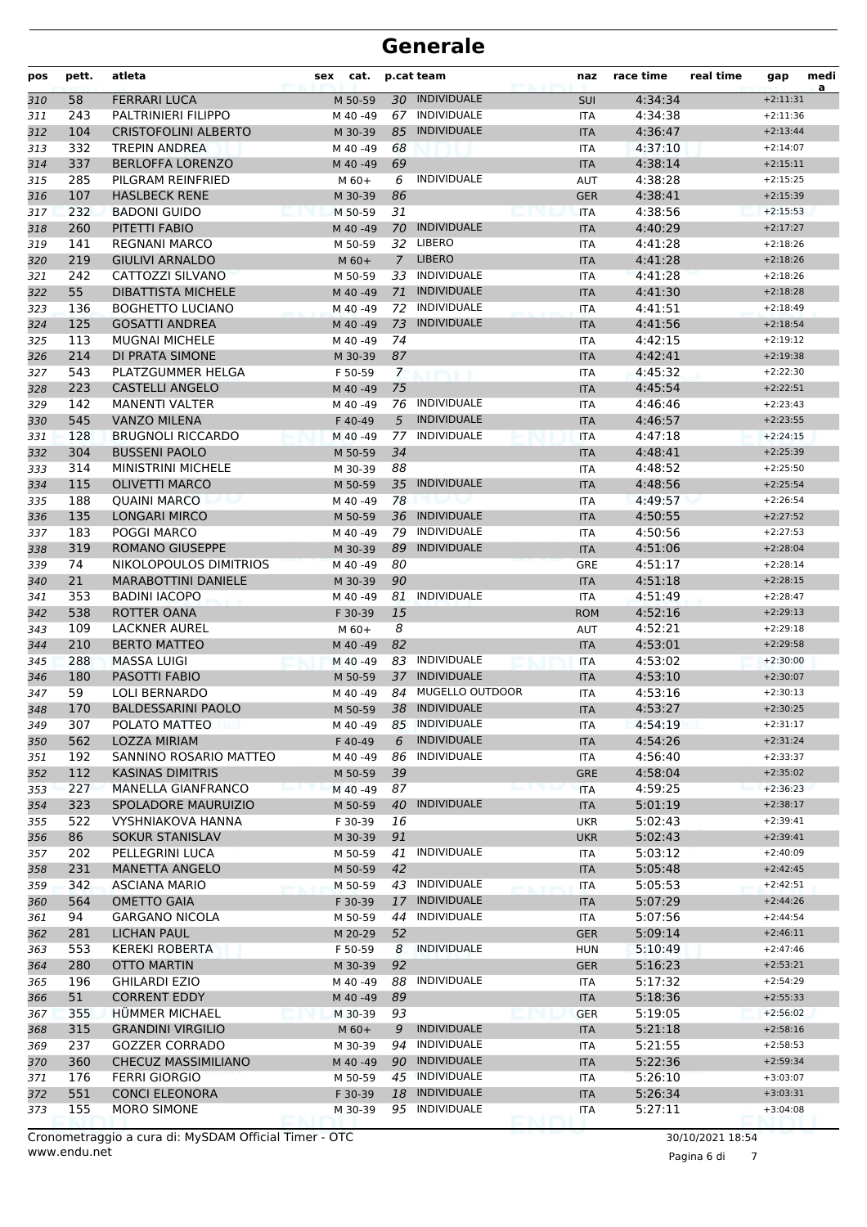| pos        | pett.     | atleta                                             | cat.<br>sex         |                | p.cat team                           | naz                      | race time          | real time | gap                      | medi<br>a |
|------------|-----------|----------------------------------------------------|---------------------|----------------|--------------------------------------|--------------------------|--------------------|-----------|--------------------------|-----------|
| 310        | 58        | <b>FERRARI LUCA</b>                                | M 50-59             |                | 30 INDIVIDUALE                       | <b>SUI</b>               | 4:34:34            |           | $+2:11:31$               |           |
| 311        | 243       | PALTRINIERI FILIPPO                                | M 40 -49            |                | 67 INDIVIDUALE                       | <b>ITA</b>               | 4:34:38            |           | $+2:11:36$               |           |
| 312        | 104       | <b>CRISTOFOLINI ALBERTO</b>                        | M 30-39             | 85             | <b>INDIVIDUALE</b>                   | <b>ITA</b>               | 4:36:47            |           | $+2:13:44$               |           |
| 313        | 332       | TREPIN ANDREA                                      | M 40 -49            | 68             |                                      | <b>ITA</b>               | 4:37:10            |           | $+2:14:07$               |           |
| 314        | 337       | <b>BERLOFFA LORENZO</b>                            | M 40 -49            | 69             |                                      | <b>ITA</b>               | 4:38:14            |           | $+2:15:11$               |           |
| 315        | 285       | PILGRAM REINFRIED                                  | $M$ 60+             | 6              | <b>INDIVIDUALE</b>                   | <b>AUT</b>               | 4:38:28            |           | $+2:15:25$               |           |
| 316        | 107       | <b>HASLBECK RENE</b>                               | M 30-39             | 86             |                                      | <b>GER</b>               | 4:38:41            |           | $+2:15:39$               |           |
| 317        | 232       | <b>BADONI GUIDO</b>                                | M 50-59             | 31             |                                      | <b>ITA</b>               | 4:38:56            |           | $+2:15:53$               |           |
| 318        | 260       | PITETTI FABIO                                      | M 40 -49            |                | 70 INDIVIDUALE                       | <b>ITA</b>               | 4:40:29            |           | $+2:17:27$               |           |
| 319        | 141       | <b>REGNANI MARCO</b>                               | M 50-59             |                | 32 LIBERO                            | <b>ITA</b>               | 4:41:28            |           | $+2:18:26$               |           |
| 320        | 219       | <b>GIULIVI ARNALDO</b>                             | $M$ 60+             | $7^{\circ}$    | <b>LIBERO</b>                        | <b>ITA</b>               | 4:41:28            |           | $+2:18:26$               |           |
| 321        | 242       | CATTOZZI SILVANO                                   | M 50-59             | 33             | INDIVIDUALE                          | <b>ITA</b>               | 4:41:28            |           | $+2:18:26$               |           |
| 322        | 55        | <b>DIBATTISTA MICHELE</b>                          | M 40 - 49           | 71             | <b>INDIVIDUALE</b>                   | <b>ITA</b>               | 4:41:30            |           | $+2:18:28$               |           |
| 323        | 136       | <b>BOGHETTO LUCIANO</b>                            | M 40 -49            | 72             | INDIVIDUALE                          | <b>ITA</b>               | 4:41:51            |           | $+2:18:49$               |           |
| 324        | 125       | <b>GOSATTI ANDREA</b>                              | M 40 -49            | 73             | <b>INDIVIDUALE</b>                   | <b>ITA</b>               | 4:41:56            |           | $+2:18:54$               |           |
| 325        | 113       | <b>MUGNAI MICHELE</b>                              | M 40 -49            | 74             |                                      | <b>ITA</b>               | 4:42:15            |           | $+2:19:12$               |           |
| 326        | 214       | DI PRATA SIMONE                                    | M 30-39             | 87             |                                      | <b>ITA</b>               | 4:42:41            |           | $+2:19:38$               |           |
| 327        | 543       | PLATZGUMMER HELGA                                  | F 50-59             | $\overline{7}$ |                                      | <b>ITA</b>               | 4:45:32            |           | $+2:22:30$               |           |
| 328        | 223       | <b>CASTELLI ANGELO</b>                             | M 40 -49            | 75             |                                      | <b>ITA</b>               | 4:45:54            |           | $+2:22:51$               |           |
| 329        | 142       | <b>MANENTI VALTER</b>                              | M 40 -49            |                | 76 INDIVIDUALE                       | <b>ITA</b>               | 4:46:46            |           | $+2:23:43$               |           |
| 330        | 545       | <b>VANZO MILENA</b>                                | F 40-49             | 5              | <b>INDIVIDUALE</b>                   | <b>ITA</b>               | 4:46:57            |           | $+2:23:55$               |           |
| 331        | 128       | <b>BRUGNOLI RICCARDO</b>                           | M 40 -49            |                | 77 INDIVIDUALE                       | <b>ITA</b>               | 4:47:18            |           | $+2:24:15$               |           |
| 332        | 304       | <b>BUSSENI PAOLO</b>                               | M 50-59             | 34             |                                      | <b>ITA</b>               | 4:48:41            |           | $+2:25:39$               |           |
| 333        | 314       | <b>MINISTRINI MICHELE</b>                          | M 30-39             | 88             |                                      | <b>ITA</b>               | 4:48:52            |           | $+2:25:50$               |           |
| 334        | 115       | <b>OLIVETTI MARCO</b>                              | M 50-59             | 35             | <b>INDIVIDUALE</b>                   | <b>ITA</b>               | 4:48:56            |           | $+2:25:54$               |           |
| 335        | 188       | <b>QUAINI MARCO</b>                                | M 40 -49            | 78             |                                      | <b>ITA</b>               | 4:49:57            |           | $+2:26:54$               |           |
| 336        | 135       | <b>LONGARI MIRCO</b>                               | M 50-59             | 36             | <b>INDIVIDUALE</b><br>79 INDIVIDUALE | <b>ITA</b>               | 4:50:55            |           | $+2:27:52$               |           |
| 337        | 183       | <b>POGGI MARCO</b>                                 | M 40 -49            |                |                                      | <b>ITA</b>               | 4:50:56            |           | $+2:27:53$               |           |
| 338        | 319       | <b>ROMANO GIUSEPPE</b>                             | M 30-39             | 89             | <b>INDIVIDUALE</b>                   | <b>ITA</b>               | 4:51:06            |           | $+2:28:04$               |           |
| 339        | 74        | NIKOLOPOULOS DIMITRIOS                             | M 40 -49            | 80             |                                      | <b>GRE</b>               | 4:51:17            |           | $+2:28:14$               |           |
| 340        | 21<br>353 | <b>MARABOTTINI DANIELE</b><br><b>BADINI IACOPO</b> | M 30-39             | 90<br>81       | <b>INDIVIDUALE</b>                   | <b>ITA</b>               | 4:51:18<br>4:51:49 |           | $+2:28:15$<br>$+2:28:47$ |           |
| 341        | 538       | ROTTER OANA                                        | M 40 -49<br>F 30-39 | 15             |                                      | <b>ITA</b><br><b>ROM</b> | 4:52:16            |           | $+2:29:13$               |           |
| 342<br>343 | 109       | <b>LACKNER AUREL</b>                               | $M$ 60+             | 8              |                                      | <b>AUT</b>               | 4:52:21            |           | $+2:29:18$               |           |
| 344        | 210       | <b>BERTO MATTEO</b>                                | M 40 -49            | 82             |                                      | <b>ITA</b>               | 4:53:01            |           | $+2:29:58$               |           |
| 345        | 288       | <b>MASSA LUIGI</b>                                 | M 40 -49            | 83             | INDIVIDUALE                          | <b>ITA</b>               | 4:53:02            |           | $+2:30:00$               |           |
| 346        | 180       | PASOTTI FABIO                                      | M 50-59             | 37             | <b>INDIVIDUALE</b>                   | <b>ITA</b>               | 4:53:10            |           | $+2:30:07$               |           |
| 347        | 59        | LOLI BERNARDO                                      | M 40 -49            | 84             | MUGELLO OUTDOOR                      | <b>ITA</b>               | 4:53:16            |           | $+2:30:13$               |           |
| 348        | 170       | <b>BALDESSARINI PAOLO</b>                          | M 50-59             |                | 38 INDIVIDUALE                       | <b>ITA</b>               | 4:53:27            |           | $+2:30:25$               |           |
| 349        | 307       | POLATO MATTEO                                      | M 40 -49            |                | 85 INDIVIDUALE                       | ITA                      | 4:54:19            |           | $+2:31:17$               |           |
| 350        | 562       | LOZZA MIRIAM                                       | F 40-49             | 6              | <b>INDIVIDUALE</b>                   | <b>ITA</b>               | 4:54:26            |           | $+2:31:24$               |           |
| 351        | 192       | SANNINO ROSARIO MATTEO                             | M 40 -49            | 86             | INDIVIDUALE                          | ITA                      | 4:56:40            |           | $+2:33:37$               |           |
| 352        | 112       | <b>KASINAS DIMITRIS</b>                            | M 50-59             | 39             |                                      | GRE                      | 4:58:04            |           | $+2:35:02$               |           |
| 353        | 227       | MANELLA GIANFRANCO                                 | M 40 -49            | 87             |                                      | <b>ITA</b>               | 4:59:25            |           | $+2:36:23$               |           |
| 354        | 323       | SPOLADORE MAURUIZIO                                | M 50-59             | 40             | <b>INDIVIDUALE</b>                   | <b>ITA</b>               | 5:01:19            |           | $+2:38:17$               |           |
| 355        | 522       | <b>VYSHNIAKOVA HANNA</b>                           | F 30-39             | 16             |                                      | <b>UKR</b>               | 5:02:43            |           | $+2:39:41$               |           |
| 356        | 86        | <b>SOKUR STANISLAV</b>                             | M 30-39             | 91             |                                      | <b>UKR</b>               | 5:02:43            |           | $+2:39:41$               |           |
| 357        | 202       | PELLEGRINI LUCA                                    | M 50-59             | 41             | INDIVIDUALE                          | ITA                      | 5:03:12            |           | $+2:40:09$               |           |
| 358        | 231       | <b>MANETTA ANGELO</b>                              | M 50-59             | 42             |                                      | <b>ITA</b>               | 5:05:48            |           | $+2:42:45$               |           |
| 359        | 342       | <b>ASCIANA MARIO</b>                               | M 50-59             |                | 43 INDIVIDUALE                       | ITA                      | 5:05:53            |           | $+2:42:51$               |           |
| 360        | 564       | <b>OMETTO GAIA</b>                                 | F 30-39             |                | 17 INDIVIDUALE                       | <b>ITA</b>               | 5:07:29            |           | $+2:44:26$               |           |
| 361        | 94        | <b>GARGANO NICOLA</b>                              | M 50-59             |                | 44 INDIVIDUALE                       | ITA                      | 5:07:56            |           | $+2:44:54$               |           |
| 362        | 281       | <b>LICHAN PAUL</b>                                 | M 20-29             | 52             |                                      | <b>GER</b>               | 5:09:14            |           | $+2:46:11$               |           |
| 363        | 553       | <b>KEREKI ROBERTA</b>                              | F 50-59             | 8              | <b>INDIVIDUALE</b>                   | <b>HUN</b>               | 5:10:49            |           | $+2:47:46$               |           |
| 364        | 280       | <b>OTTO MARTIN</b>                                 | M 30-39             | 92             |                                      | <b>GER</b>               | 5:16:23            |           | $+2:53:21$               |           |
| 365        | 196       | <b>GHILARDI EZIO</b>                               | M 40 -49            | 88             | <b>INDIVIDUALE</b>                   | ITA                      | 5:17:32            |           | $+2:54:29$               |           |
| 366        | 51        | <b>CORRENT EDDY</b>                                | M 40 - 49           | 89             |                                      | <b>ITA</b>               | 5:18:36            |           | $+2:55:33$               |           |
| 367        | 355       | HÜMMER MICHAEL                                     | M 30-39             | 93             |                                      | <b>GER</b>               | 5:19:05            |           | $+2:56:02$               |           |
| 368        | 315       | <b>GRANDINI VIRGILIO</b>                           | $M$ 60+             | 9              | <b>INDIVIDUALE</b>                   | <b>ITA</b>               | 5:21:18            |           | $+2:58:16$               |           |
| 369        | 237       | <b>GOZZER CORRADO</b>                              | M 30-39             | 94             | INDIVIDUALE                          | ITA                      | 5:21:55            |           | $+2:58:53$               |           |
| 370        | 360       | CHECUZ MASSIMILIANO                                | M 40 - 49           |                | 90 INDIVIDUALE                       | <b>ITA</b>               | 5:22:36            |           | $+2:59:34$               |           |
| 371        | 176       | <b>FERRI GIORGIO</b>                               | M 50-59             |                | 45 INDIVIDUALE                       | ITA                      | 5:26:10            |           | $+3:03:07$               |           |
| 372        | 551       | <b>CONCI ELEONORA</b>                              | F 30-39             |                | 18 INDIVIDUALE                       | <b>ITA</b>               | 5:26:34            |           | $+3:03:31$               |           |
| 373        | 155       | <b>MORO SIMONE</b>                                 | M 30-39             |                | 95 INDIVIDUALE                       | <b>ITA</b>               | 5:27:11            |           | $+3:04:08$               |           |

www.endu.net Cronometraggio a cura di: MySDAM Official Timer - OTC 30/10/2021 18:54

Pagina 6 di 7